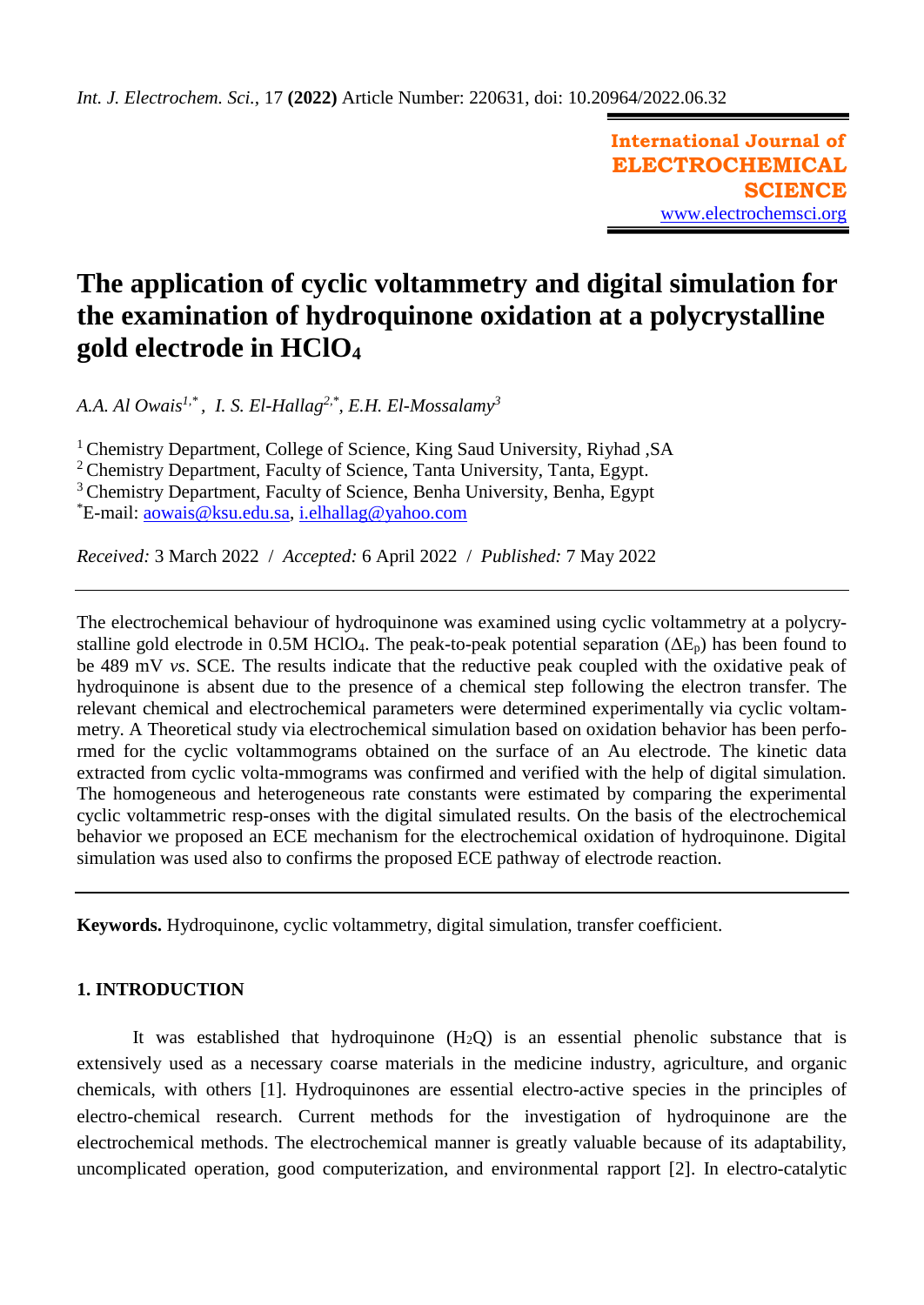**International Journal of ELECTROCHEMICAL SCIENCE** [www.electrochemsci.org](http://www.electrochemsci.org/)

# **The application of cyclic voltammetry and digital simulation for the examination of hydroquinone oxidation at a polycrystalline gold electrode in HClO<sup>4</sup>**

*A.A. Al Owais1,\* , I. S. El-Hallag2,\*, E.H. El-Mossalamy<sup>3</sup>*

<sup>1</sup> Chemistry Department, College of Science, King Saud University, Riyhad, SA

<sup>2</sup> Chemistry Department, Faculty of Science, Tanta University, Tanta, Egypt.

<sup>3</sup> Chemistry Department, Faculty of Science, Benha University, Benha, Egypt

\*E-mail: [aowais@ksu.edu.sa,](mailto:aowais@ksu.edu.sa) [i.elhallag@yahoo.com](mailto:i.elhallag@yahoo.com) 

*Received:* 3 March 2022/ *Accepted:* 6 April 2022 / *Published:* 7 May 2022

The electrochemical behaviour of hydroquinone was examined using cyclic voltammetry at a polycrystalline gold electrode in 0.5M HClO<sub>4</sub>. The peak-to-peak potential separation ( $\Delta E_p$ ) has been found to be 489 mV *vs*. SCE. The results indicate that the reductive peak coupled with the oxidative peak of hydroquinone is absent due to the presence of a chemical step following the electron transfer. The relevant chemical and electrochemical parameters were determined experimentally via cyclic voltammetry. A Theoretical study via electrochemical simulation based on oxidation behavior has been performed for the cyclic voltammograms obtained on the surface of an Au electrode. The kinetic data extracted from cyclic volta-mmograms was confirmed and verified with the help of digital simulation. The homogeneous and heterogeneous rate constants were estimated by comparing the experimental cyclic voltammetric resp-onses with the digital simulated results. On the basis of the electrochemical behavior we proposed an ECE mechanism for the electrochemical oxidation of hydroquinone. Digital simulation was used also to confirms the proposed ECE pathway of electrode reaction.

**Keywords.** Hydroquinone, cyclic voltammetry, digital simulation, transfer coefficient.

# **1. INTRODUCTION**

It was established that hydroquinone  $(H_2Q)$  is an essential phenolic substance that is extensively used as a necessary coarse materials in the medicine industry, agriculture, and organic chemicals, with others [1]. Hydroquinones are essential electro-active species in the principles of electro-chemical research. Current methods for the investigation of hydroquinone are the electrochemical methods. The electrochemical manner is greatly valuable because of its adaptability, uncomplicated operation, good computerization, and environmental rapport [2]. In electro-catalytic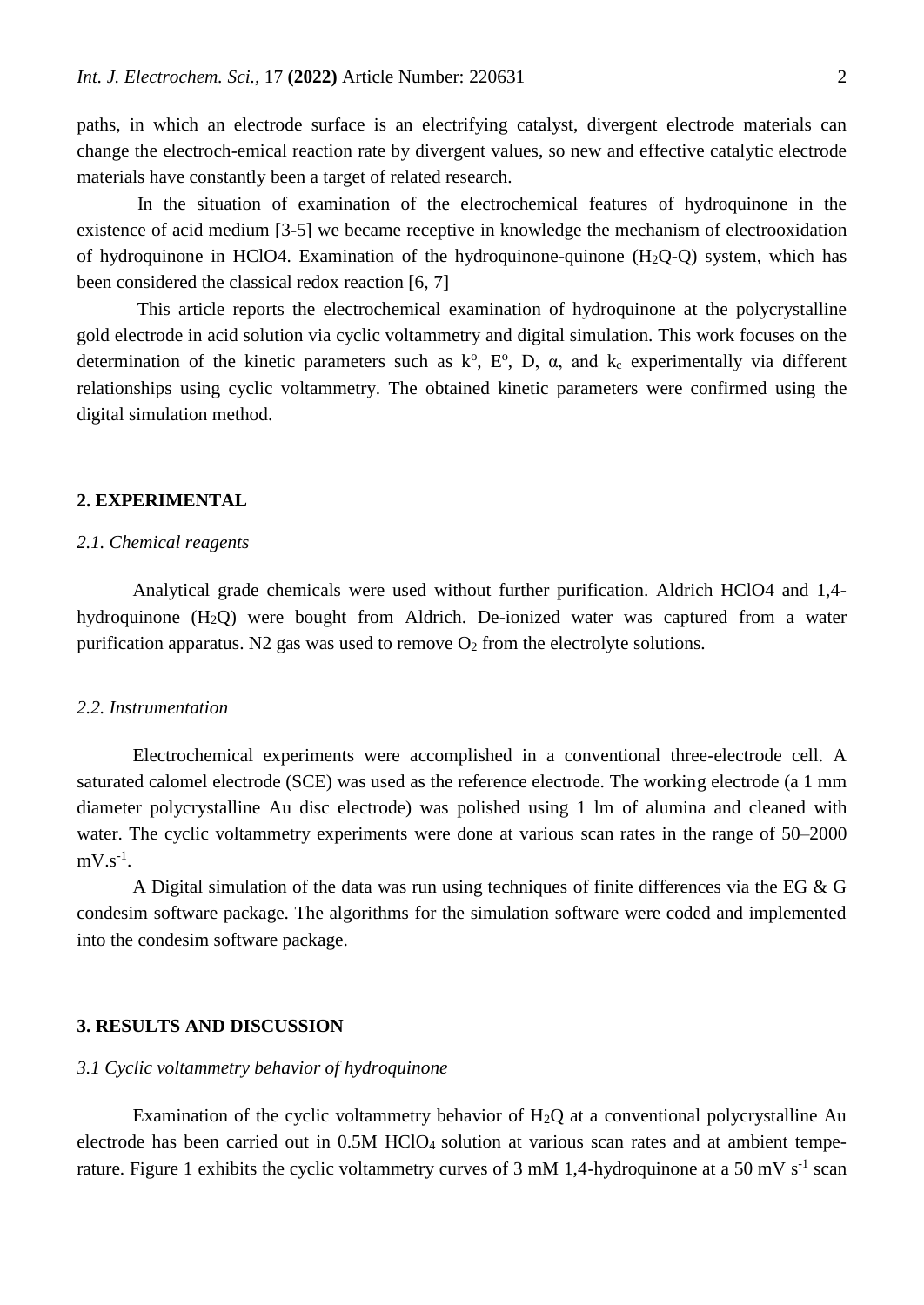paths, in which an electrode surface is an electrifying catalyst, divergent electrode materials can change the electroch-emical reaction rate by divergent values, so new and effective catalytic electrode materials have constantly been a target of related research.

In the situation of examination of the electrochemical features of hydroquinone in the existence of acid medium [3-5] we became receptive in knowledge the mechanism of electrooxidation of hydroquinone in HClO4. Examination of the hydroquinone-quinone  $(H_2O-O)$  system, which has been considered the classical redox reaction [6, 7]

This article reports the electrochemical examination of hydroquinone at the polycrystalline gold electrode in acid solution via cyclic voltammetry and digital simulation. This work focuses on the determination of the kinetic parameters such as  $k^{\circ}$ ,  $E^{\circ}$ , D,  $\alpha$ , and  $k_c$  experimentally via different relationships using cyclic voltammetry. The obtained kinetic parameters were confirmed using the digital simulation method.

#### **2. EXPERIMENTAL**

### *2.1. Chemical reagents*

Analytical grade chemicals were used without further purification. Aldrich HClO4 and 1,4 hydroquinone (H2Q) were bought from Aldrich. De-ionized water was captured from a water purification apparatus. N2 gas was used to remove  $O_2$  from the electrolyte solutions.

## *2.2. Instrumentation*

Electrochemical experiments were accomplished in a conventional three-electrode cell. A saturated calomel electrode (SCE) was used as the reference electrode. The working electrode (a 1 mm diameter polycrystalline Au disc electrode) was polished using 1 lm of alumina and cleaned with water. The cyclic voltammetry experiments were done at various scan rates in the range of 50–2000  $mV.s^{-1}$ .

A Digital simulation of the data was run using techniques of finite differences via the EG & G condesim software package. The algorithms for the simulation software were coded and implemented into the condesim software package.

## **3. RESULTS AND DISCUSSION**

#### *3.1 Cyclic voltammetry behavior of hydroquinone*

Examination of the cyclic voltammetry behavior of  $H_2Q$  at a conventional polycrystalline Au electrode has been carried out in 0.5M HClO<sub>4</sub> solution at various scan rates and at ambient temperature. Figure 1 exhibits the cyclic voltammetry curves of 3 mM 1,4-hydroquinone at a 50 mV  $s^{-1}$  scan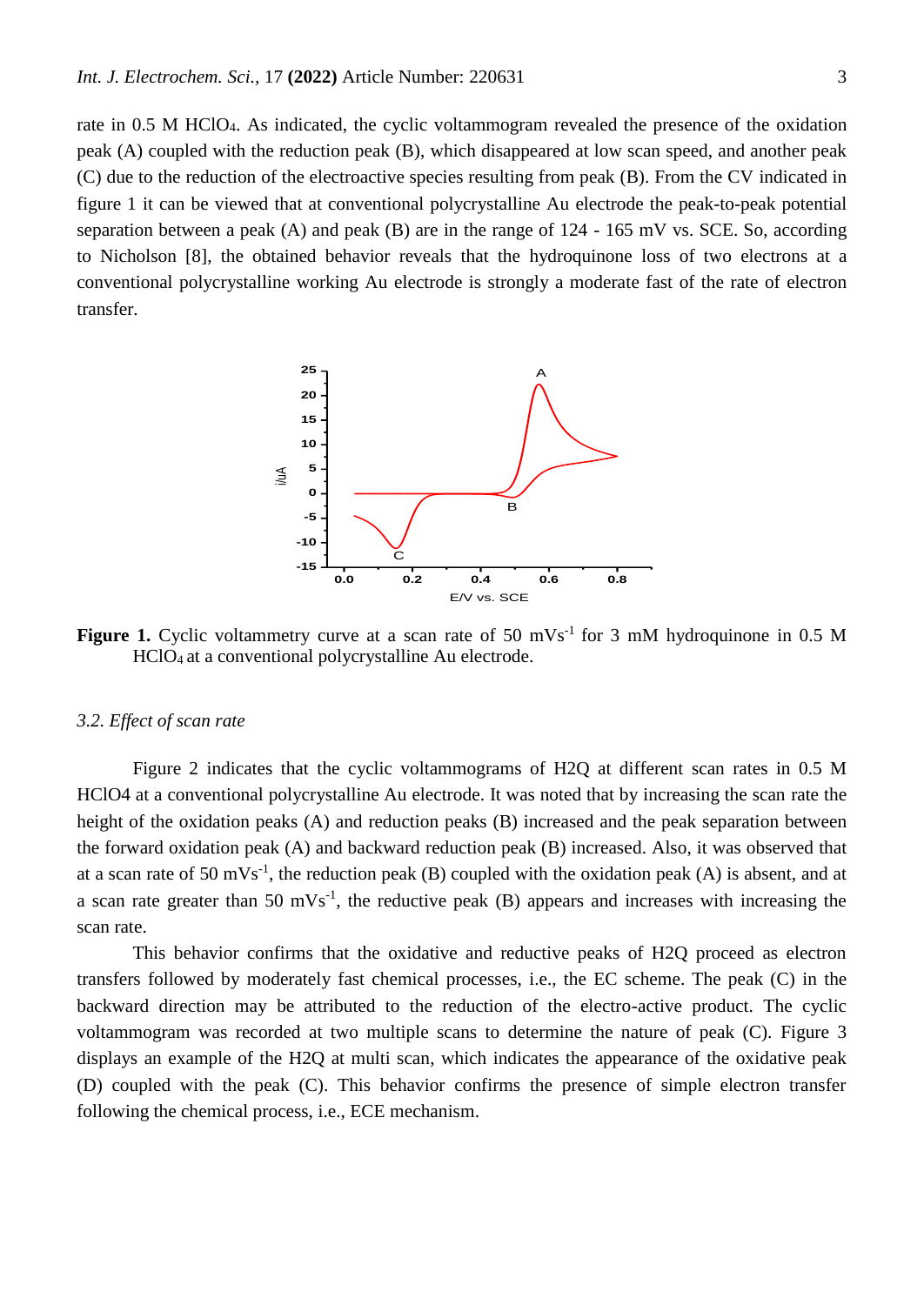rate in 0.5 M HClO4. As indicated, the cyclic voltammogram revealed the presence of the oxidation peak (A) coupled with the reduction peak (B), which disappeared at low scan speed, and another peak (C) due to the reduction of the electroactive species resulting from peak (B). From the CV indicated in figure 1 it can be viewed that at conventional polycrystalline Au electrode the peak-to-peak potential separation between a peak (A) and peak (B) are in the range of  $124 - 165$  mV vs. SCE. So, according to Nicholson [8], the obtained behavior reveals that the hydroquinone loss of two electrons at a conventional polycrystalline working Au electrode is strongly a moderate fast of the rate of electron transfer.



Figure 1. Cyclic voltammetry curve at a scan rate of 50 mVs<sup>-1</sup> for 3 mM hydroquinone in 0.5 M HClO4 at a conventional polycrystalline Au electrode.

#### *3.2. Effect of scan rate*

Figure 2 indicates that the cyclic voltammograms of H2Q at different scan rates in 0.5 M HClO4 at a conventional polycrystalline Au electrode. It was noted that by increasing the scan rate the height of the oxidation peaks (A) and reduction peaks (B) increased and the peak separation between the forward oxidation peak (A) and backward reduction peak (B) increased. Also, it was observed that at a scan rate of 50 mVs<sup>-1</sup>, the reduction peak (B) coupled with the oxidation peak (A) is absent, and at a scan rate greater than  $50 \text{ mVs}^{-1}$ , the reductive peak (B) appears and increases with increasing the scan rate.

This behavior confirms that the oxidative and reductive peaks of H2Q proceed as electron transfers followed by moderately fast chemical processes, i.e., the EC scheme. The peak (C) in the backward direction may be attributed to the reduction of the electro-active product. The cyclic voltammogram was recorded at two multiple scans to determine the nature of peak (C). Figure 3 displays an example of the H2Q at multi scan, which indicates the appearance of the oxidative peak (D) coupled with the peak (C). This behavior confirms the presence of simple electron transfer following the chemical process, i.e., ECE mechanism.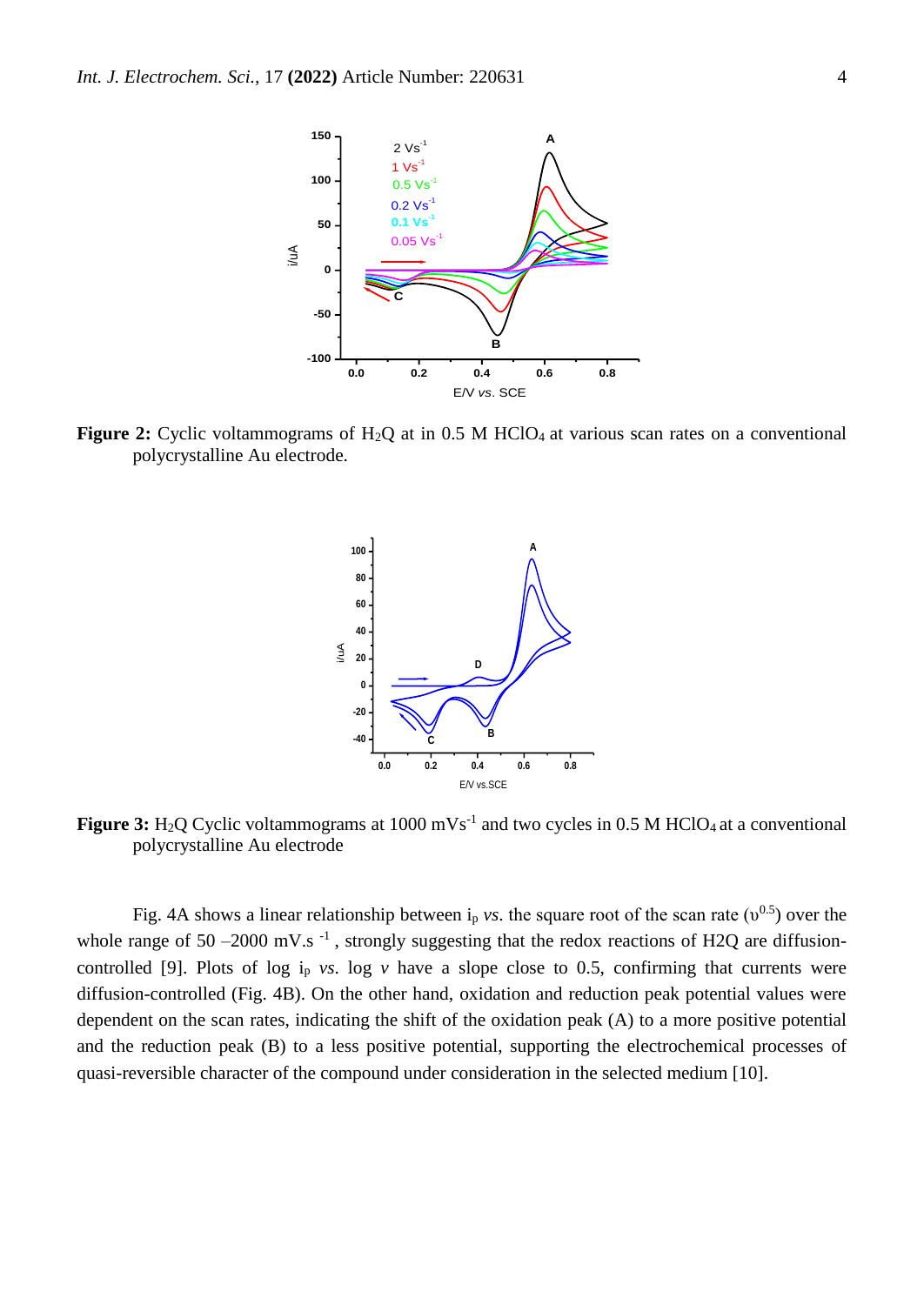

**Figure 2:** Cyclic voltammograms of H<sub>2</sub>Q at in 0.5 M HClO<sub>4</sub> at various scan rates on a conventional polycrystalline Au electrode.



**Figure 3:** H<sub>2</sub>Q Cyclic voltammograms at  $1000 \text{ mVs}^{-1}$  and two cycles in 0.5 M HClO<sub>4</sub> at a conventional polycrystalline Au electrode

Fig. 4A shows a linear relationship between  $i_p$  *vs*. the square root of the scan rate ( $v^{0.5}$ ) over the whole range of 50 –2000 mV.s<sup>-1</sup>, strongly suggesting that the redox reactions of H2Q are diffusioncontrolled [9]. Plots of log  $i<sub>p</sub>$  *vs*. log *v* have a slope close to 0.5, confirming that currents were diffusion-controlled (Fig. 4B). On the other hand, oxidation and reduction peak potential values were dependent on the scan rates, indicating the shift of the oxidation peak (A) to a more positive potential and the reduction peak (B) to a less positive potential, supporting the electrochemical processes of quasi-reversible character of the compound under consideration in the selected medium [10].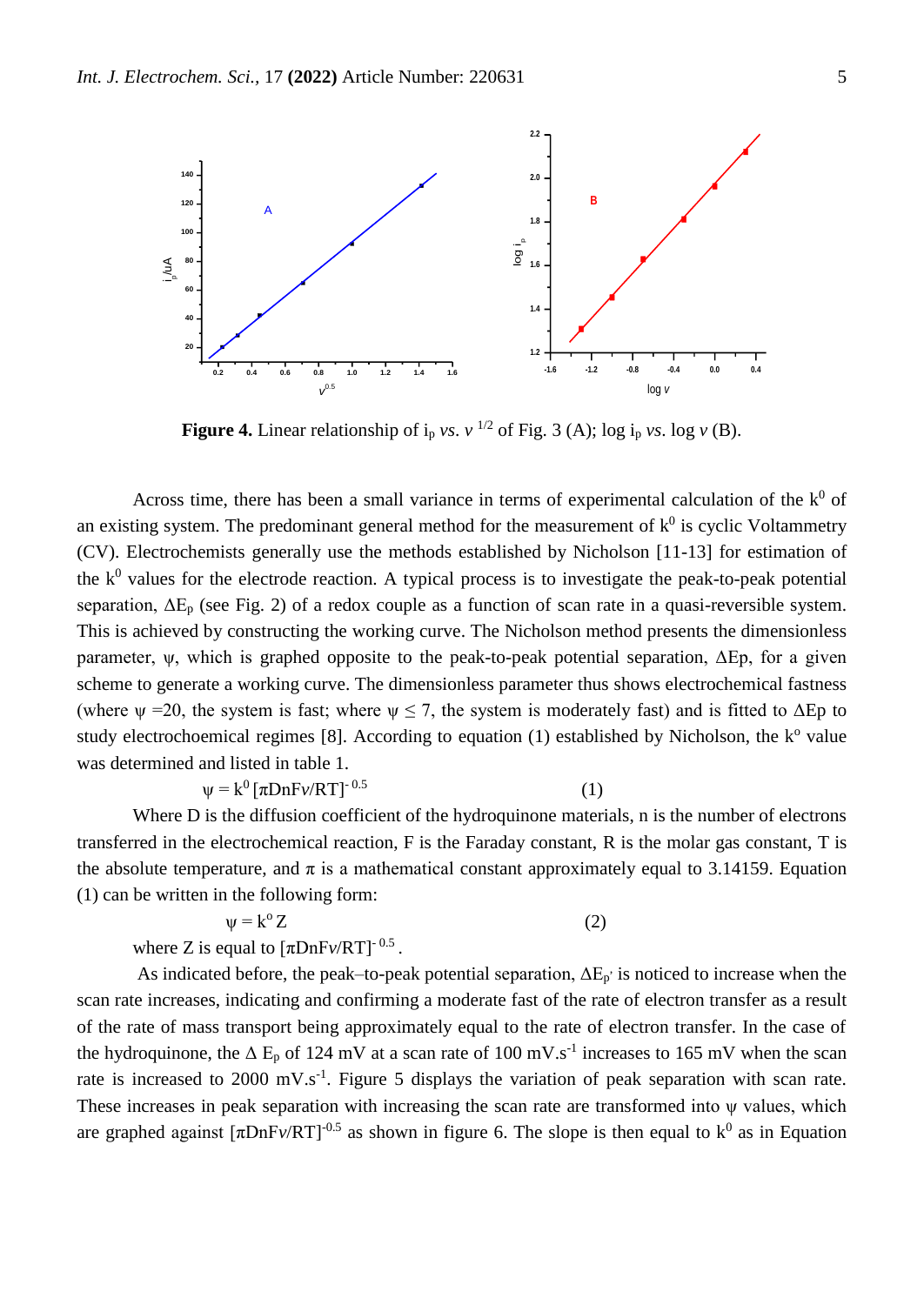

**Figure 4.** Linear relationship of  $i_p$  *vs.*  $v^{1/2}$  of Fig. 3 (A); log  $i_p$  *vs.* log *v* (B).

Across time, there has been a small variance in terms of experimental calculation of the  $k^0$  of an existing system. The predominant general method for the measurement of  $k^0$  is cyclic Voltammetry (CV). Electrochemists generally use the methods established by Nicholson [11-13] for estimation of the  $k^0$  values for the electrode reaction. A typical process is to investigate the peak-to-peak potential separation,  $\Delta E_p$  (see Fig. 2) of a redox couple as a function of scan rate in a quasi-reversible system. This is achieved by constructing the working curve. The Nicholson method presents the dimensionless parameter,  $\psi$ , which is graphed opposite to the peak-to-peak potential separation,  $\Delta$ Ep, for a given scheme to generate a working curve. The dimensionless parameter thus shows electrochemical fastness (where  $\psi$  =20, the system is fast; where  $\psi \le 7$ , the system is moderately fast) and is fitted to  $\Delta Ep$  to study electrochoemical regimes [8]. According to equation (1) established by Nicholson, the k° value was determined and listed in table 1.

$$
\psi = k^0 \left[ \pi D n F \nu / RT \right]^{-0.5} \tag{1}
$$

Where D is the diffusion coefficient of the hydroquinone materials, n is the number of electrons transferred in the electrochemical reaction, F is the Faraday constant, R is the molar gas constant, T is the absolute temperature, and  $\pi$  is a mathematical constant approximately equal to 3.14159. Equation (1) can be written in the following form:

$$
\psi = k^{\circ} Z \tag{2}
$$

where Z is equal to  $[\pi DnFv/RT]$ <sup>-0.5</sup>.

As indicated before, the peak–to-peak potential separation,  $\Delta E_p$  is noticed to increase when the scan rate increases, indicating and confirming a moderate fast of the rate of electron transfer as a result of the rate of mass transport being approximately equal to the rate of electron transfer. In the case of the hydroquinone, the  $\Delta E_p$  of 124 mV at a scan rate of 100 mV.s<sup>-1</sup> increases to 165 mV when the scan rate is increased to 2000 mV.s<sup>-1</sup>. Figure 5 displays the variation of peak separation with scan rate. These increases in peak separation with increasing the scan rate are transformed into ψ values, which are graphed against  $[\pi DnFv/RT]$ <sup>-0.5</sup> as shown in figure 6. The slope is then equal to  $k^0$  as in Equation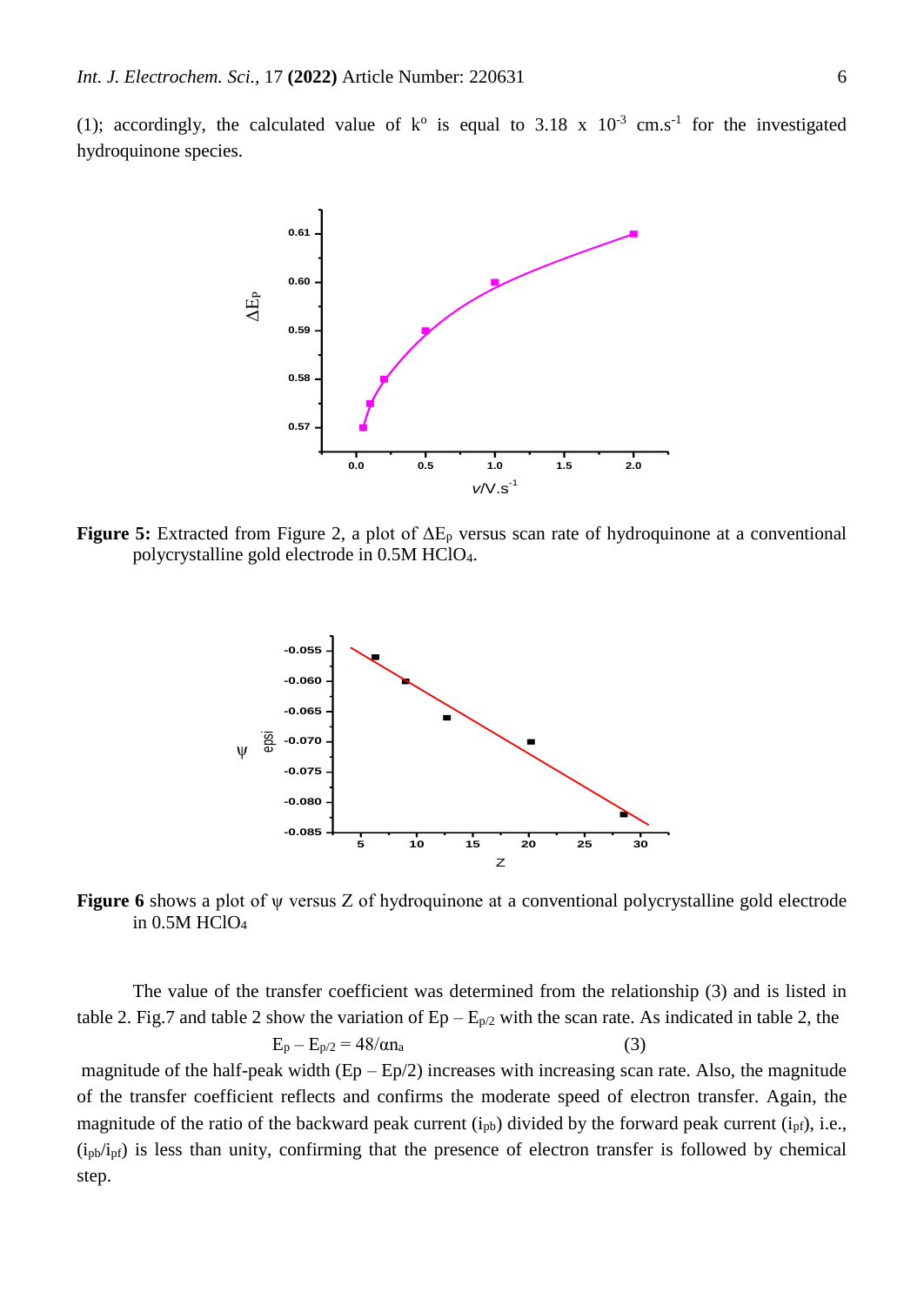(1); accordingly, the calculated value of  $k^{\circ}$  is equal to 3.18 x 10<sup>-3</sup> cm.s<sup>-1</sup> for the investigated hydroquinone species.



**Figure 5:** Extracted from Figure 2, a plot of ΔE<sup>p</sup> versus scan rate of hydroquinone at a conventional polycrystalline gold electrode in 0.5M HClO4.



**Figure 6** shows a plot of ψ versus Z of hydroquinone at a conventional polycrystalline gold electrode in 0.5M HClO<sup>4</sup>

The value of the transfer coefficient was determined from the relationship (3) and is listed in table 2. Fig.7 and table 2 show the variation of  $Ep - E_{p/2}$  with the scan rate. As indicated in table 2, the  $E_p - E_{p/2} = 48/\alpha n_a$  (3) magnitude of the half-peak width  $(Ep - Ep/2)$  increases with increasing scan rate. Also, the magnitude of the transfer coefficient reflects and confirms the moderate speed of electron transfer. Again, the magnitude of the ratio of the backward peak current  $(i_{pb})$  divided by the forward peak current  $(i_{pf})$ , i.e.,  $(i<sub>pb</sub>/i<sub>pf</sub>)$  is less than unity, confirming that the presence of electron transfer is followed by chemical step.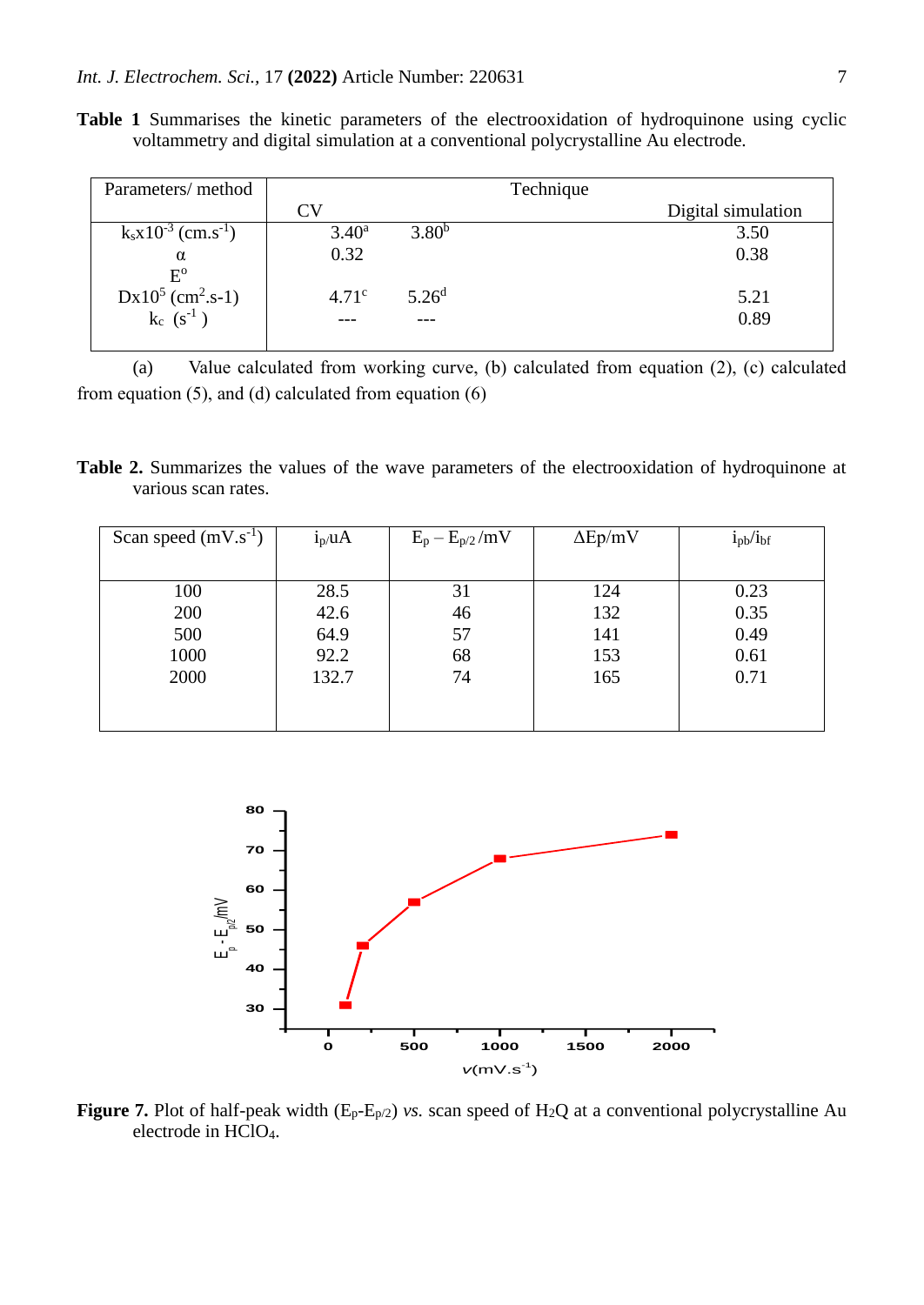**Table 1** Summarises the kinetic parameters of the electrooxidation of hydroquinone using cyclic voltammetry and digital simulation at a conventional polycrystalline Au electrode.

| Parameters/ method                    | Technique         |                   |  |                    |
|---------------------------------------|-------------------|-------------------|--|--------------------|
|                                       | CV                |                   |  | Digital simulation |
| $k_s x 10^{-3}$ (cm.s <sup>-1</sup> ) | $3.40^{\rm a}$    | $3.80^{b}$        |  | 3.50               |
| $\alpha$                              | 0.32              |                   |  | 0.38               |
| $E^{\rm o}$                           |                   |                   |  |                    |
| $Dx10^5$ (cm <sup>2</sup> .s-1)       | 4.71 <sup>c</sup> | 5.26 <sup>d</sup> |  | 5.21               |
| $k_c$ $(s^{-1})$                      |                   |                   |  | 0.89               |
|                                       |                   |                   |  |                    |

(a) Value calculated from working curve, (b) calculated from equation (2), (c) calculated from equation (5), and (d) calculated from equation (6)

**Table 2.** Summarizes the values of the wave parameters of the electrooxidation of hydroquinone at various scan rates.

| Scan speed $(mV.s^{-1})$ | $i_p/uA$ | $E_p - E_{p/2}/mV$ | $\Delta$ Ep/mV | $i_{pb}/i_{bf}$ |
|--------------------------|----------|--------------------|----------------|-----------------|
|                          |          |                    |                |                 |
| 100                      | 28.5     | 31                 | 124            | 0.23            |
| 200                      | 42.6     | 46                 | 132            | 0.35            |
| 500                      | 64.9     | 57                 | 141            | 0.49            |
| 1000                     | 92.2     | 68                 | 153            | 0.61            |
| 2000                     | 132.7    | 74                 | 165            | 0.71            |
|                          |          |                    |                |                 |
|                          |          |                    |                |                 |



**Figure 7.** Plot of half-peak width  $(E_p-E_p/2)$  *vs.* scan speed of H<sub>2</sub>Q at a conventional polycrystalline Au electrode in HClO4.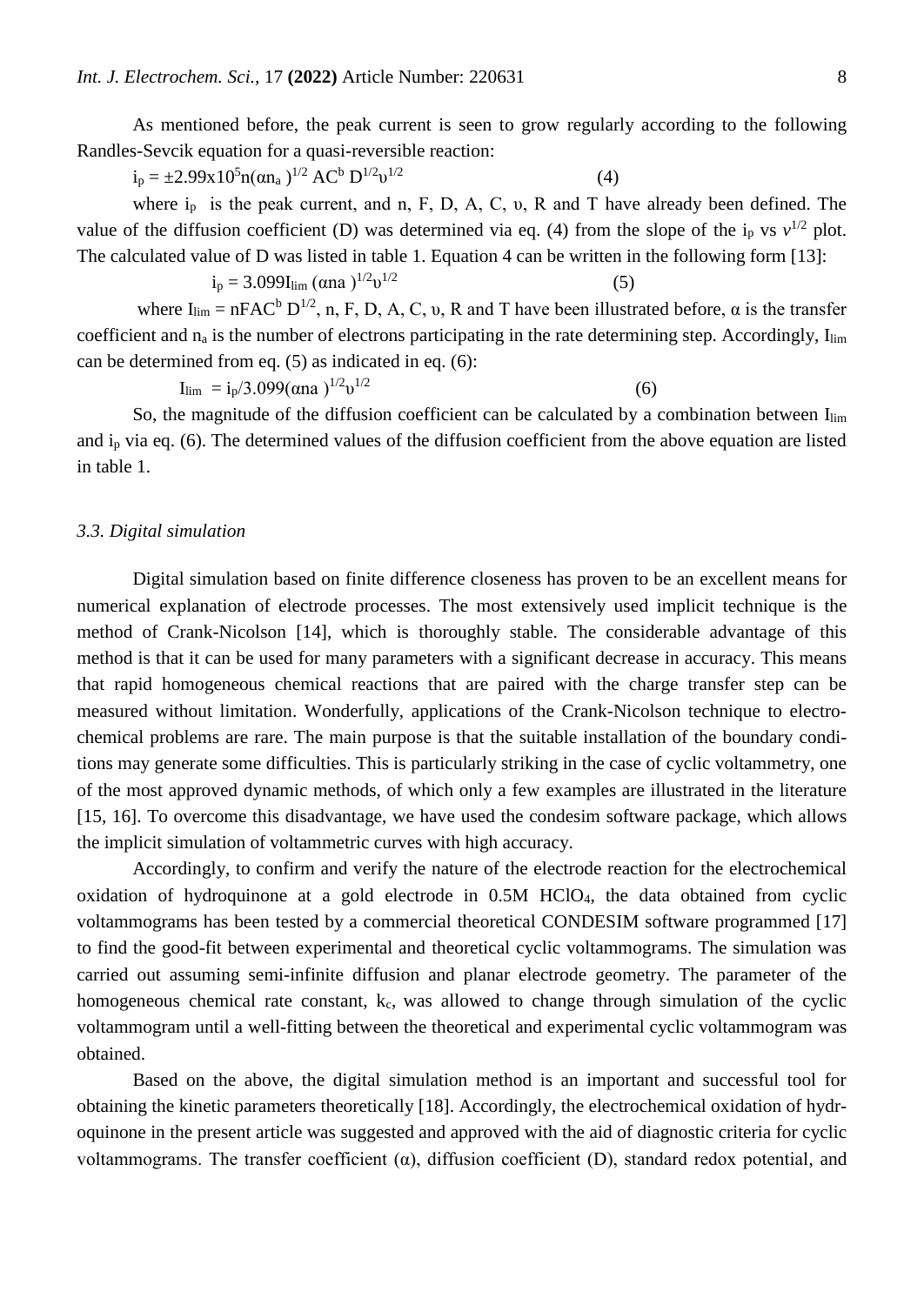As mentioned before, the peak current is seen to grow regularly according to the following Randles-Sevcik equation for a quasi-reversible reaction:

 $i_p = \pm 2.99x10^5 n(\alpha n_a)^{1/2} AC^b D^{1/2} v^{1/2}$ 

(4)

where  $i_p$  is the peak current, and n, F, D, A, C, v, R and T have already been defined. The value of the diffusion coefficient (D) was determined via eq. (4) from the slope of the  $i_p$  vs  $v^{1/2}$  plot. The calculated value of D was listed in table 1. Equation 4 can be written in the following form [13]:

 $i_p = 3.099I_{lim}$  (αna)<sup>1/2</sup>υ<sup>1/2</sup>  $(5)$ where  $I_{\text{lim}} = nFAC^b D^{1/2}$ , n, F, D, A, C, v, R and T have been illustrated before,  $\alpha$  is the transfer coefficient and  $n_a$  is the number of electrons participating in the rate determining step. Accordingly,  $I_{\text{lim}}$ can be determined from eq. (5) as indicated in eq. (6):

 $I_{\text{lim}} = i_p/3.099(\alpha n a)^{1/2}v^{1/2}$ (6)

So, the magnitude of the diffusion coefficient can be calculated by a combination between  $I_{\text{lim}}$ and i<sup>p</sup> via eq. (6). The determined values of the diffusion coefficient from the above equation are listed in table 1.

#### *3.3. Digital simulation*

Digital simulation based on finite difference closeness has proven to be an excellent means for numerical explanation of electrode processes. The most extensively used implicit technique is the method of Crank-Nicolson [14], which is thoroughly stable. The considerable advantage of this method is that it can be used for many parameters with a significant decrease in accuracy. This means that rapid homogeneous chemical reactions that are paired with the charge transfer step can be measured without limitation. Wonderfully, applications of the Crank-Nicolson technique to electrochemical problems are rare. The main purpose is that the suitable installation of the boundary conditions may generate some difficulties. This is particularly striking in the case of cyclic voltammetry, one of the most approved dynamic methods, of which only a few examples are illustrated in the literature [15, 16]. To overcome this disadvantage, we have used the condesim software package, which allows the implicit simulation of voltammetric curves with high accuracy.

Accordingly, to confirm and verify the nature of the electrode reaction for the electrochemical oxidation of hydroquinone at a gold electrode in 0.5M HClO4, the data obtained from cyclic voltammograms has been tested by a commercial theoretical CONDESIM software programmed [17] to find the good-fit between experimental and theoretical cyclic voltammograms. The simulation was carried out assuming semi-infinite diffusion and planar electrode geometry. The parameter of the homogeneous chemical rate constant,  $k_c$ , was allowed to change through simulation of the cyclic voltammogram until a well-fitting between the theoretical and experimental cyclic voltammogram was obtained.

Based on the above, the digital simulation method is an important and successful tool for obtaining the kinetic parameters theoretically [18]. Accordingly, the electrochemical oxidation of hydroquinone in the present article was suggested and approved with the aid of diagnostic criteria for cyclic voltammograms. The transfer coefficient  $(\alpha)$ , diffusion coefficient  $(D)$ , standard redox potential, and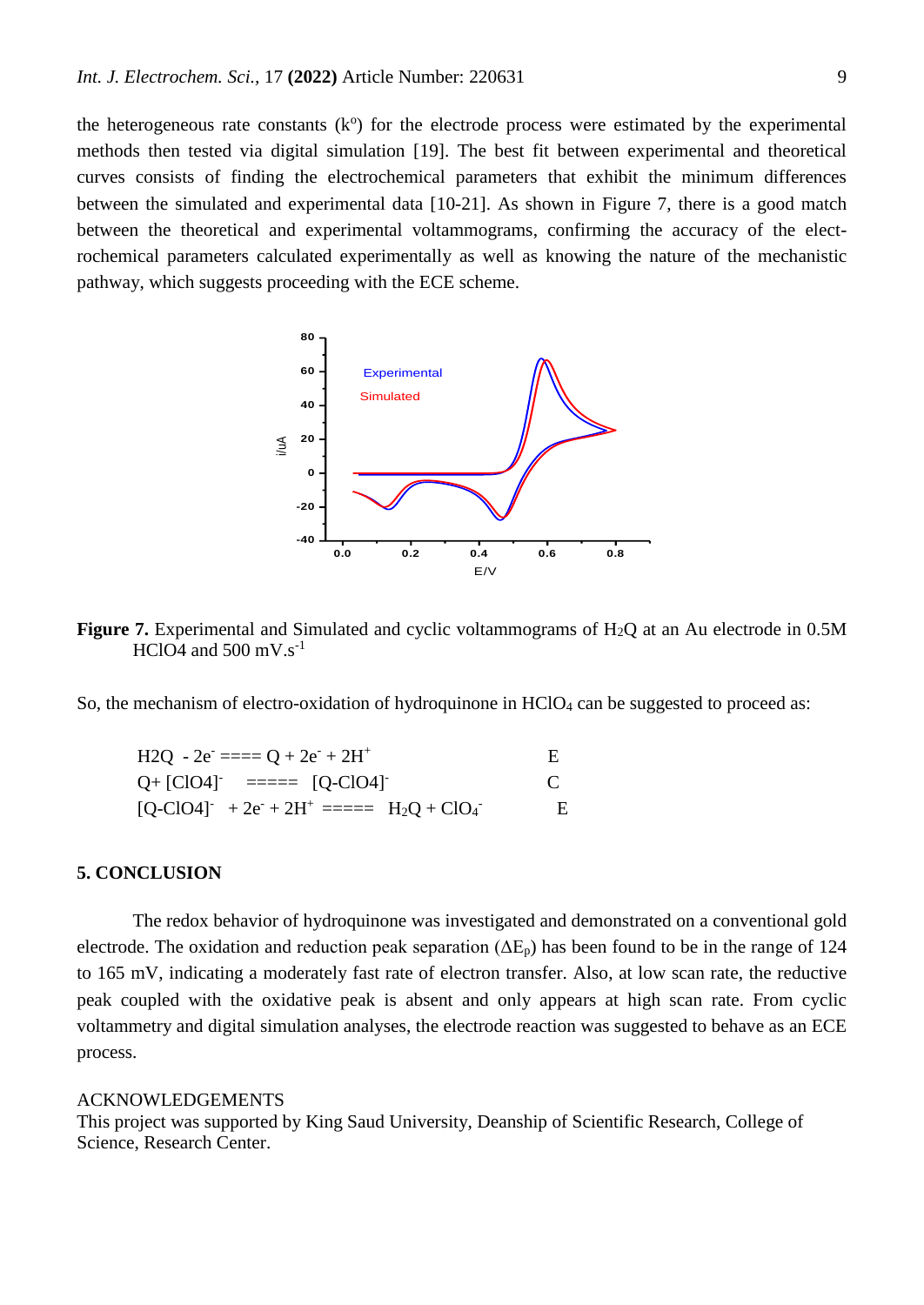the heterogeneous rate constants  $(k<sup>o</sup>)$  for the electrode process were estimated by the experimental methods then tested via digital simulation [19]. The best fit between experimental and theoretical curves consists of finding the electrochemical parameters that exhibit the minimum differences between the simulated and experimental data [10-21]. As shown in Figure 7, there is a good match between the theoretical and experimental voltammograms, confirming the accuracy of the electrochemical parameters calculated experimentally as well as knowing the nature of the mechanistic pathway, which suggests proceeding with the ECE scheme.



**Figure 7.** Experimental and Simulated and cyclic voltammograms of H<sub>2</sub>Q at an Au electrode in 0.5M HClO4 and  $500 \text{ mV}$ .s<sup>-1</sup>

So, the mechanism of electro-oxidation of hydroquinone in  $HClO<sub>4</sub>$  can be suggested to proceed as:

H2Q - 2e- ==== Q + 2e- + 2H<sup>+</sup> E Q+ [ClO4]- ===== [Q-ClO4]- C [Q-ClO4]- + 2e- + 2H<sup>+</sup>===== H2Q + ClO<sup>4</sup> - E

## **5. CONCLUSION**

The redox behavior of hydroquinone was investigated and demonstrated on a conventional gold electrode. The oxidation and reduction peak separation ( $\Delta E_p$ ) has been found to be in the range of 124 to 165 mV, indicating a moderately fast rate of electron transfer. Also, at low scan rate, the reductive peak coupled with the oxidative peak is absent and only appears at high scan rate. From cyclic voltammetry and digital simulation analyses, the electrode reaction was suggested to behave as an ECE process.

#### ACKNOWLEDGEMENTS

This project was supported by King Saud University, Deanship of Scientific Research, College of Science, Research Center.